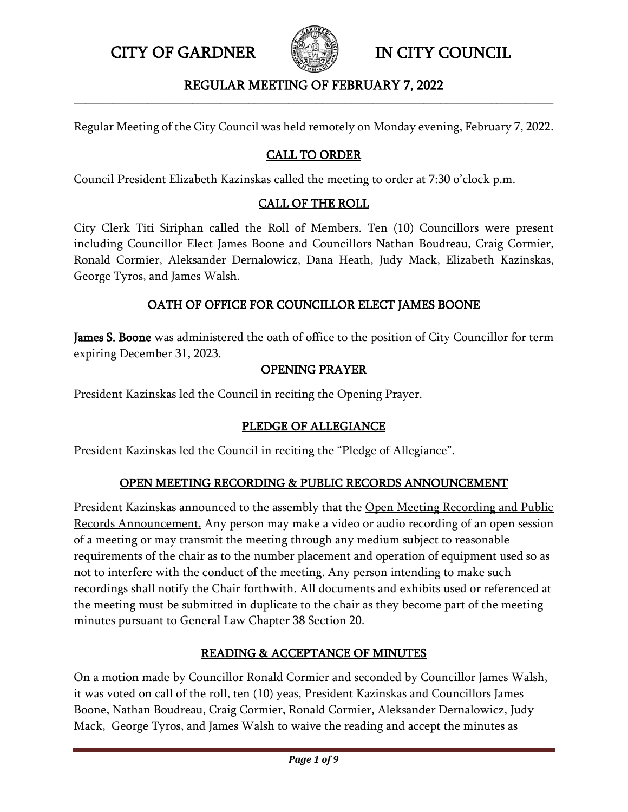

## REGULAR MEETING OF FEBRUARY 7, 2022 **\_\_\_\_\_\_\_\_\_\_\_\_\_\_\_\_\_\_\_\_\_\_\_\_\_\_\_\_\_\_\_\_\_\_\_\_\_\_\_\_\_\_\_\_\_\_\_\_\_\_\_\_\_\_\_\_\_\_\_\_\_\_\_\_\_\_\_\_\_\_\_\_\_\_\_\_\_\_\_\_\_\_\_\_\_**

Regular Meeting of the City Council was held remotely on Monday evening, February 7, 2022.

# CALL TO ORDER

Council President Elizabeth Kazinskas called the meeting to order at 7:30 o'clock p.m.

# CALL OF THE ROLL

City Clerk Titi Siriphan called the Roll of Members. Ten (10) Councillors were present including Councillor Elect James Boone and Councillors Nathan Boudreau, Craig Cormier, Ronald Cormier, Aleksander Dernalowicz, Dana Heath, Judy Mack, Elizabeth Kazinskas, George Tyros, and James Walsh.

# OATH OF OFFICE FOR COUNCILLOR ELECT JAMES BOONE

James S. Boone was administered the oath of office to the position of City Councillor for term expiring December 31, 2023.

### OPENING PRAYER

President Kazinskas led the Council in reciting the Opening Prayer.

# PLEDGE OF ALLEGIANCE

President Kazinskas led the Council in reciting the "Pledge of Allegiance".

# OPEN MEETING RECORDING & PUBLIC RECORDS ANNOUNCEMENT

President Kazinskas announced to the assembly that the Open Meeting Recording and Public Records Announcement. Any person may make a video or audio recording of an open session of a meeting or may transmit the meeting through any medium subject to reasonable requirements of the chair as to the number placement and operation of equipment used so as not to interfere with the conduct of the meeting. Any person intending to make such recordings shall notify the Chair forthwith. All documents and exhibits used or referenced at the meeting must be submitted in duplicate to the chair as they become part of the meeting minutes pursuant to General Law Chapter 38 Section 20.

# READING & ACCEPTANCE OF MINUTES

On a motion made by Councillor Ronald Cormier and seconded by Councillor James Walsh, it was voted on call of the roll, ten (10) yeas, President Kazinskas and Councillors James Boone, Nathan Boudreau, Craig Cormier, Ronald Cormier, Aleksander Dernalowicz, Judy Mack, George Tyros, and James Walsh to waive the reading and accept the minutes as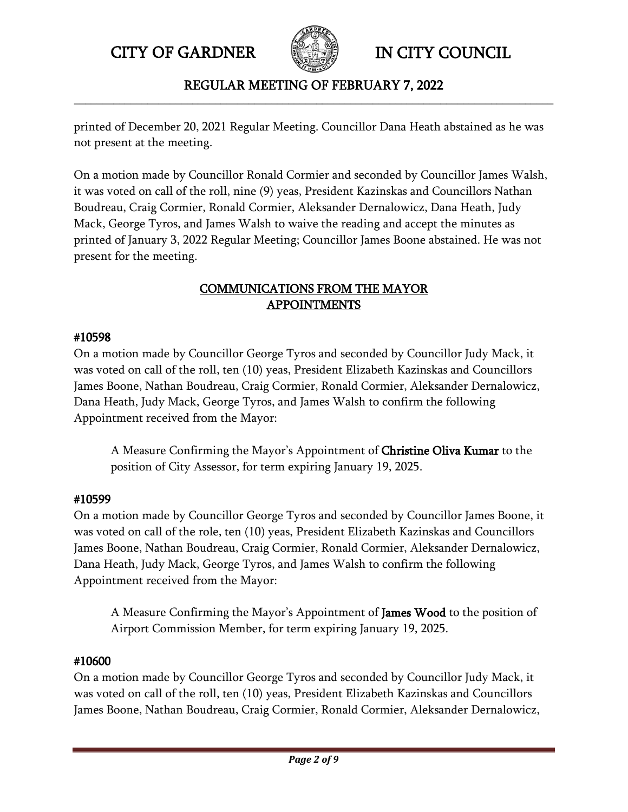

# REGULAR MEETING OF FEBRUARY 7, 2022 **\_\_\_\_\_\_\_\_\_\_\_\_\_\_\_\_\_\_\_\_\_\_\_\_\_\_\_\_\_\_\_\_\_\_\_\_\_\_\_\_\_\_\_\_\_\_\_\_\_\_\_\_\_\_\_\_\_\_\_\_\_\_\_\_\_\_\_\_\_\_\_\_\_\_\_\_\_\_\_\_\_\_\_\_\_**

printed of December 20, 2021 Regular Meeting. Councillor Dana Heath abstained as he was not present at the meeting.

On a motion made by Councillor Ronald Cormier and seconded by Councillor James Walsh, it was voted on call of the roll, nine (9) yeas, President Kazinskas and Councillors Nathan Boudreau, Craig Cormier, Ronald Cormier, Aleksander Dernalowicz, Dana Heath, Judy Mack, George Tyros, and James Walsh to waive the reading and accept the minutes as printed of January 3, 2022 Regular Meeting; Councillor James Boone abstained. He was not present for the meeting.

# COMMUNICATIONS FROM THE MAYOR APPOINTMENTS

# #10598

On a motion made by Councillor George Tyros and seconded by Councillor Judy Mack, it was voted on call of the roll, ten (10) yeas, President Elizabeth Kazinskas and Councillors James Boone, Nathan Boudreau, Craig Cormier, Ronald Cormier, Aleksander Dernalowicz, Dana Heath, Judy Mack, George Tyros, and James Walsh to confirm the following Appointment received from the Mayor:

A Measure Confirming the Mayor's Appointment of Christine Oliva Kumar to the position of City Assessor, for term expiring January 19, 2025.

# #10599

On a motion made by Councillor George Tyros and seconded by Councillor James Boone, it was voted on call of the role, ten (10) yeas, President Elizabeth Kazinskas and Councillors James Boone, Nathan Boudreau, Craig Cormier, Ronald Cormier, Aleksander Dernalowicz, Dana Heath, Judy Mack, George Tyros, and James Walsh to confirm the following Appointment received from the Mayor:

A Measure Confirming the Mayor's Appointment of James Wood to the position of Airport Commission Member, for term expiring January 19, 2025.

# #10600

On a motion made by Councillor George Tyros and seconded by Councillor Judy Mack, it was voted on call of the roll, ten (10) yeas, President Elizabeth Kazinskas and Councillors James Boone, Nathan Boudreau, Craig Cormier, Ronald Cormier, Aleksander Dernalowicz,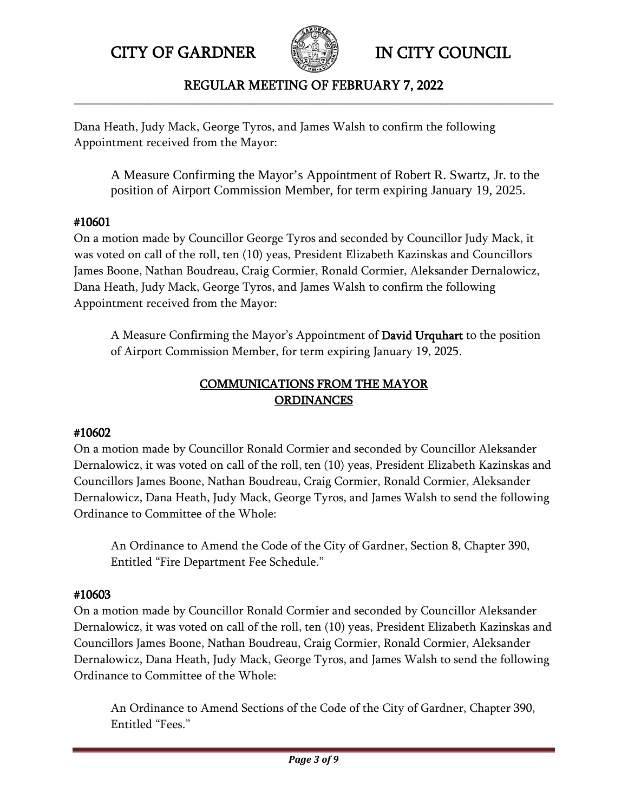

# REGULAR MEETING OF FEBRUARY 7, 2022 **\_\_\_\_\_\_\_\_\_\_\_\_\_\_\_\_\_\_\_\_\_\_\_\_\_\_\_\_\_\_\_\_\_\_\_\_\_\_\_\_\_\_\_\_\_\_\_\_\_\_\_\_\_\_\_\_\_\_\_\_\_\_\_\_\_\_\_\_\_\_\_\_\_\_\_\_\_\_\_\_\_\_\_\_\_**

Dana Heath, Judy Mack, George Tyros, and James Walsh to confirm the following Appointment received from the Mayor:

A Measure Confirming the Mayor's Appointment of Robert R. Swartz, Jr. to the position of Airport Commission Member, for term expiring January 19, 2025.

# #10601

On a motion made by Councillor George Tyros and seconded by Councillor Judy Mack, it was voted on call of the roll, ten (10) yeas, President Elizabeth Kazinskas and Councillors James Boone, Nathan Boudreau, Craig Cormier, Ronald Cormier, Aleksander Dernalowicz, Dana Heath, Judy Mack, George Tyros, and James Walsh to confirm the following Appointment received from the Mayor:

A Measure Confirming the Mayor's Appointment of David Urquhart to the position of Airport Commission Member, for term expiring January 19, 2025.

# COMMUNICATIONS FROM THE MAYOR **ORDINANCES**

# #10602

On a motion made by Councillor Ronald Cormier and seconded by Councillor Aleksander Dernalowicz, it was voted on call of the roll, ten (10) yeas, President Elizabeth Kazinskas and Councillors James Boone, Nathan Boudreau, Craig Cormier, Ronald Cormier, Aleksander Dernalowicz, Dana Heath, Judy Mack, George Tyros, and James Walsh to send the following Ordinance to Committee of the Whole:

An Ordinance to Amend the Code of the City of Gardner, Section 8, Chapter 390, Entitled "Fire Department Fee Schedule."

# #10603

On a motion made by Councillor Ronald Cormier and seconded by Councillor Aleksander Dernalowicz, it was voted on call of the roll, ten (10) yeas, President Elizabeth Kazinskas and Councillors James Boone, Nathan Boudreau, Craig Cormier, Ronald Cormier, Aleksander Dernalowicz, Dana Heath, Judy Mack, George Tyros, and James Walsh to send the following Ordinance to Committee of the Whole:

An Ordinance to Amend Sections of the Code of the City of Gardner, Chapter 390, Entitled "Fees."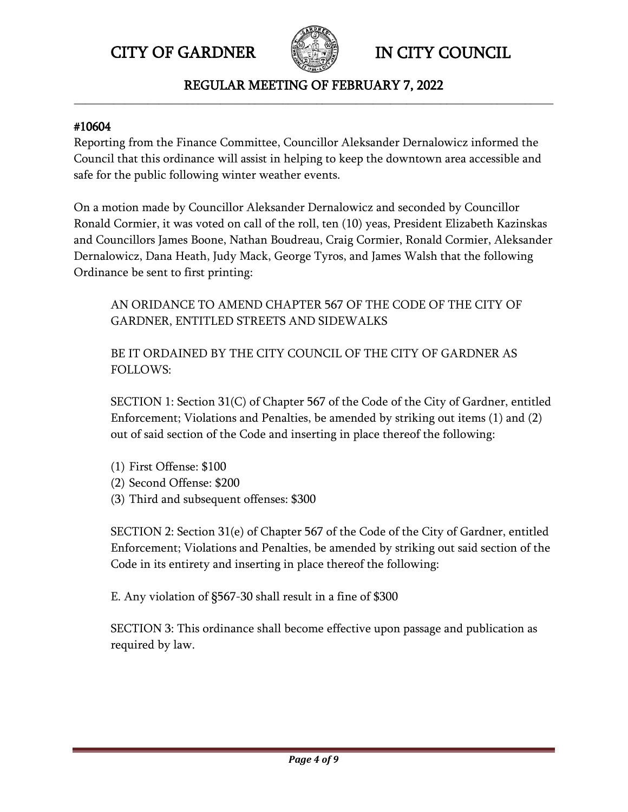

## REGULAR MEETING OF FEBRUARY 7, 2022 **\_\_\_\_\_\_\_\_\_\_\_\_\_\_\_\_\_\_\_\_\_\_\_\_\_\_\_\_\_\_\_\_\_\_\_\_\_\_\_\_\_\_\_\_\_\_\_\_\_\_\_\_\_\_\_\_\_\_\_\_\_\_\_\_\_\_\_\_\_\_\_\_\_\_\_\_\_\_\_\_\_\_\_\_\_**

#### #10604

Reporting from the Finance Committee, Councillor Aleksander Dernalowicz informed the Council that this ordinance will assist in helping to keep the downtown area accessible and safe for the public following winter weather events.

On a motion made by Councillor Aleksander Dernalowicz and seconded by Councillor Ronald Cormier, it was voted on call of the roll, ten (10) yeas, President Elizabeth Kazinskas and Councillors James Boone, Nathan Boudreau, Craig Cormier, Ronald Cormier, Aleksander Dernalowicz, Dana Heath, Judy Mack, George Tyros, and James Walsh that the following Ordinance be sent to first printing:

AN ORIDANCE TO AMEND CHAPTER 567 OF THE CODE OF THE CITY OF GARDNER, ENTITLED STREETS AND SIDEWALKS

BE IT ORDAINED BY THE CITY COUNCIL OF THE CITY OF GARDNER AS FOLLOWS:

SECTION 1: Section 31(C) of Chapter 567 of the Code of the City of Gardner, entitled Enforcement; Violations and Penalties, be amended by striking out items (1) and (2) out of said section of the Code and inserting in place thereof the following:

- (1) First Offense: \$100
- (2) Second Offense: \$200
- (3) Third and subsequent offenses: \$300

SECTION 2: Section 31(e) of Chapter 567 of the Code of the City of Gardner, entitled Enforcement; Violations and Penalties, be amended by striking out said section of the Code in its entirety and inserting in place thereof the following:

E. Any violation of §567-30 shall result in a fine of \$300

SECTION 3: This ordinance shall become effective upon passage and publication as required by law.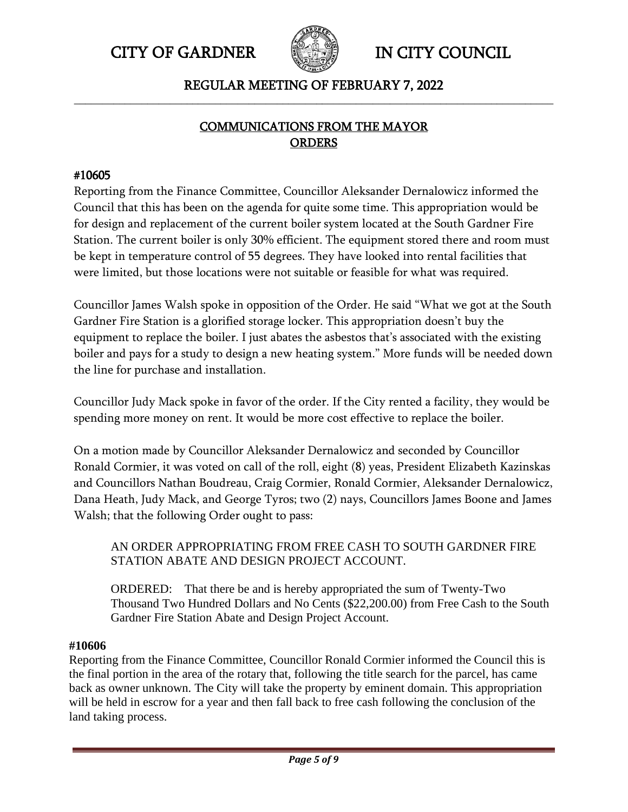



# REGULAR MEETING OF FEBRUARY 7, 2022 **\_\_\_\_\_\_\_\_\_\_\_\_\_\_\_\_\_\_\_\_\_\_\_\_\_\_\_\_\_\_\_\_\_\_\_\_\_\_\_\_\_\_\_\_\_\_\_\_\_\_\_\_\_\_\_\_\_\_\_\_\_\_\_\_\_\_\_\_\_\_\_\_\_\_\_\_\_\_\_\_\_\_\_\_\_**

# COMMUNICATIONS FROM THE MAYOR **ORDERS**

# #10605

Reporting from the Finance Committee, Councillor Aleksander Dernalowicz informed the Council that this has been on the agenda for quite some time. This appropriation would be for design and replacement of the current boiler system located at the South Gardner Fire Station. The current boiler is only 30% efficient. The equipment stored there and room must be kept in temperature control of 55 degrees. They have looked into rental facilities that were limited, but those locations were not suitable or feasible for what was required.

Councillor James Walsh spoke in opposition of the Order. He said "What we got at the South Gardner Fire Station is a glorified storage locker. This appropriation doesn't buy the equipment to replace the boiler. I just abates the asbestos that's associated with the existing boiler and pays for a study to design a new heating system." More funds will be needed down the line for purchase and installation.

Councillor Judy Mack spoke in favor of the order. If the City rented a facility, they would be spending more money on rent. It would be more cost effective to replace the boiler.

On a motion made by Councillor Aleksander Dernalowicz and seconded by Councillor Ronald Cormier, it was voted on call of the roll, eight (8) yeas, President Elizabeth Kazinskas and Councillors Nathan Boudreau, Craig Cormier, Ronald Cormier, Aleksander Dernalowicz, Dana Heath, Judy Mack, and George Tyros; two (2) nays, Councillors James Boone and James Walsh; that the following Order ought to pass:

AN ORDER APPROPRIATING FROM FREE CASH TO SOUTH GARDNER FIRE STATION ABATE AND DESIGN PROJECT ACCOUNT.

ORDERED: That there be and is hereby appropriated the sum of Twenty-Two Thousand Two Hundred Dollars and No Cents (\$22,200.00) from Free Cash to the South Gardner Fire Station Abate and Design Project Account.

#### **#10606**

Reporting from the Finance Committee, Councillor Ronald Cormier informed the Council this is the final portion in the area of the rotary that, following the title search for the parcel, has came back as owner unknown. The City will take the property by eminent domain. This appropriation will be held in escrow for a year and then fall back to free cash following the conclusion of the land taking process.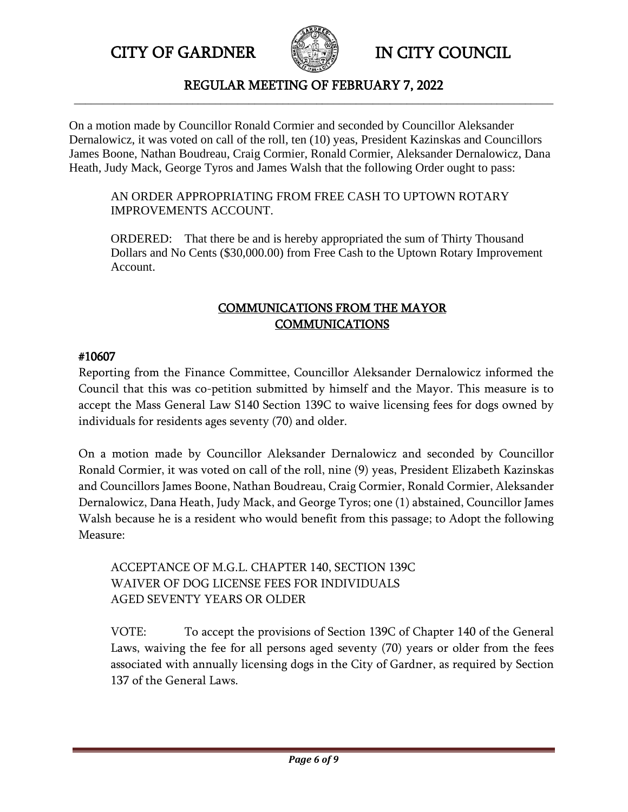

### REGULAR MEETING OF FEBRUARY 7, 2022 **\_\_\_\_\_\_\_\_\_\_\_\_\_\_\_\_\_\_\_\_\_\_\_\_\_\_\_\_\_\_\_\_\_\_\_\_\_\_\_\_\_\_\_\_\_\_\_\_\_\_\_\_\_\_\_\_\_\_\_\_\_\_\_\_\_\_\_\_\_\_\_\_\_\_\_\_\_\_\_\_\_\_\_\_\_**

On a motion made by Councillor Ronald Cormier and seconded by Councillor Aleksander Dernalowicz, it was voted on call of the roll, ten (10) yeas, President Kazinskas and Councillors James Boone, Nathan Boudreau, Craig Cormier, Ronald Cormier, Aleksander Dernalowicz, Dana Heath, Judy Mack, George Tyros and James Walsh that the following Order ought to pass:

## AN ORDER APPROPRIATING FROM FREE CASH TO UPTOWN ROTARY IMPROVEMENTS ACCOUNT.

ORDERED: That there be and is hereby appropriated the sum of Thirty Thousand Dollars and No Cents (\$30,000.00) from Free Cash to the Uptown Rotary Improvement Account.

# COMMUNICATIONS FROM THE MAYOR **COMMUNICATIONS**

# #10607

Reporting from the Finance Committee, Councillor Aleksander Dernalowicz informed the Council that this was co-petition submitted by himself and the Mayor. This measure is to accept the Mass General Law S140 Section 139C to waive licensing fees for dogs owned by individuals for residents ages seventy (70) and older.

On a motion made by Councillor Aleksander Dernalowicz and seconded by Councillor Ronald Cormier, it was voted on call of the roll, nine (9) yeas, President Elizabeth Kazinskas and Councillors James Boone, Nathan Boudreau, Craig Cormier, Ronald Cormier, Aleksander Dernalowicz, Dana Heath, Judy Mack, and George Tyros; one (1) abstained, Councillor James Walsh because he is a resident who would benefit from this passage; to Adopt the following Measure:

# ACCEPTANCE OF M.G.L. CHAPTER 140, SECTION 139C WAIVER OF DOG LICENSE FEES FOR INDIVIDUALS AGED SEVENTY YEARS OR OLDER

VOTE: To accept the provisions of Section 139C of Chapter 140 of the General Laws, waiving the fee for all persons aged seventy (70) years or older from the fees associated with annually licensing dogs in the City of Gardner, as required by Section 137 of the General Laws.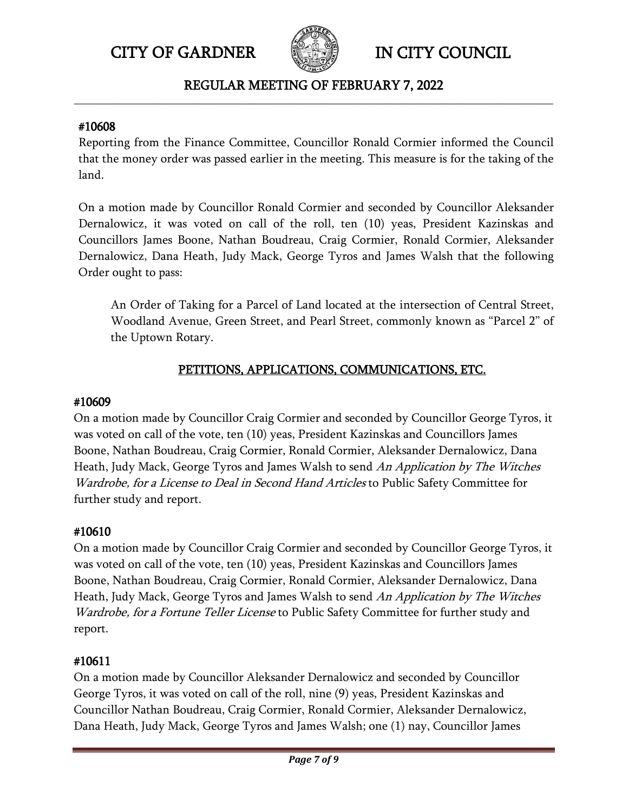

# REGULAR MEETING OF FEBRUARY 7, 2022 **\_\_\_\_\_\_\_\_\_\_\_\_\_\_\_\_\_\_\_\_\_\_\_\_\_\_\_\_\_\_\_\_\_\_\_\_\_\_\_\_\_\_\_\_\_\_\_\_\_\_\_\_\_\_\_\_\_\_\_\_\_\_\_\_\_\_\_\_\_\_\_\_\_\_\_\_\_\_\_\_\_\_\_\_\_**

## #10608

Reporting from the Finance Committee, Councillor Ronald Cormier informed the Council that the money order was passed earlier in the meeting. This measure is for the taking of the land.

On a motion made by Councillor Ronald Cormier and seconded by Councillor Aleksander Dernalowicz, it was voted on call of the roll, ten (10) yeas, President Kazinskas and Councillors James Boone, Nathan Boudreau, Craig Cormier, Ronald Cormier, Aleksander Dernalowicz, Dana Heath, Judy Mack, George Tyros and James Walsh that the following Order ought to pass:

An Order of Taking for a Parcel of Land located at the intersection of Central Street, Woodland Avenue, Green Street, and Pearl Street, commonly known as "Parcel 2" of the Uptown Rotary.

# PETITIONS, APPLICATIONS, COMMUNICATIONS, ETC.

## #10609

On a motion made by Councillor Craig Cormier and seconded by Councillor George Tyros, it was voted on call of the vote, ten (10) yeas, President Kazinskas and Councillors James Boone, Nathan Boudreau, Craig Cormier, Ronald Cormier, Aleksander Dernalowicz, Dana Heath, Judy Mack, George Tyros and James Walsh to send An Application by The Witches Wardrobe, for a License to Deal in Second Hand Articles to Public Safety Committee for further study and report.

# #10610

On a motion made by Councillor Craig Cormier and seconded by Councillor George Tyros, it was voted on call of the vote, ten (10) yeas, President Kazinskas and Councillors James Boone, Nathan Boudreau, Craig Cormier, Ronald Cormier, Aleksander Dernalowicz, Dana Heath, Judy Mack, George Tyros and James Walsh to send An Application by The Witches Wardrobe, for a Fortune Teller License to Public Safety Committee for further study and report.

# #10611

On a motion made by Councillor Aleksander Dernalowicz and seconded by Councillor George Tyros, it was voted on call of the roll, nine (9) yeas, President Kazinskas and Councillor Nathan Boudreau, Craig Cormier, Ronald Cormier, Aleksander Dernalowicz, Dana Heath, Judy Mack, George Tyros and James Walsh; one (1) nay, Councillor James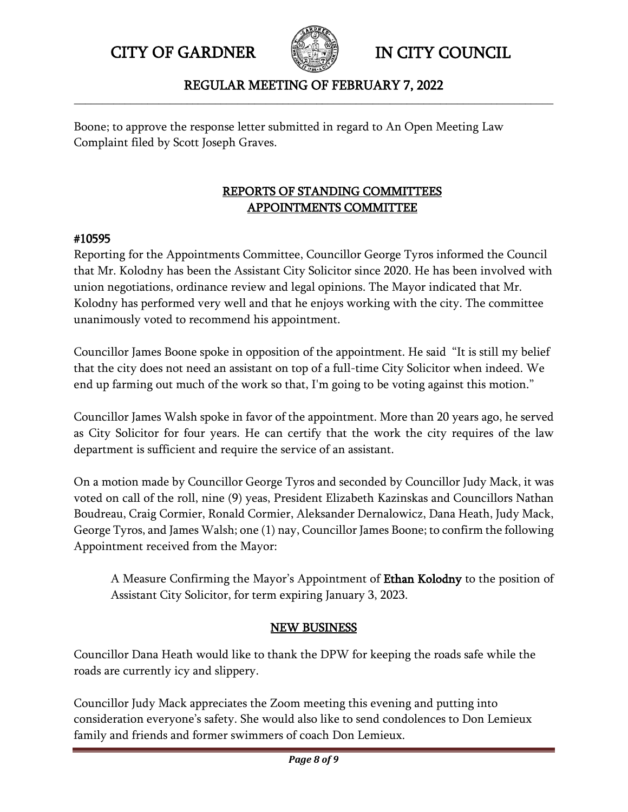

# REGULAR MEETING OF FEBRUARY 7, 2022 **\_\_\_\_\_\_\_\_\_\_\_\_\_\_\_\_\_\_\_\_\_\_\_\_\_\_\_\_\_\_\_\_\_\_\_\_\_\_\_\_\_\_\_\_\_\_\_\_\_\_\_\_\_\_\_\_\_\_\_\_\_\_\_\_\_\_\_\_\_\_\_\_\_\_\_\_\_\_\_\_\_\_\_\_\_**

Boone; to approve the response letter submitted in regard to An Open Meeting Law Complaint filed by Scott Joseph Graves.

# REPORTS OF STANDING COMMITTEES APPOINTMENTS COMMITTEE

# #10595

Reporting for the Appointments Committee, Councillor George Tyros informed the Council that Mr. Kolodny has been the Assistant City Solicitor since 2020. He has been involved with union negotiations, ordinance review and legal opinions. The Mayor indicated that Mr. Kolodny has performed very well and that he enjoys working with the city. The committee unanimously voted to recommend his appointment.

Councillor James Boone spoke in opposition of the appointment. He said "It is still my belief that the city does not need an assistant on top of a full-time City Solicitor when indeed. We end up farming out much of the work so that, I'm going to be voting against this motion."

Councillor James Walsh spoke in favor of the appointment. More than 20 years ago, he served as City Solicitor for four years. He can certify that the work the city requires of the law department is sufficient and require the service of an assistant.

On a motion made by Councillor George Tyros and seconded by Councillor Judy Mack, it was voted on call of the roll, nine (9) yeas, President Elizabeth Kazinskas and Councillors Nathan Boudreau, Craig Cormier, Ronald Cormier, Aleksander Dernalowicz, Dana Heath, Judy Mack, George Tyros, and James Walsh; one (1) nay, Councillor James Boone; to confirm the following Appointment received from the Mayor:

A Measure Confirming the Mayor's Appointment of **Ethan Kolodny** to the position of Assistant City Solicitor, for term expiring January 3, 2023.

# NEW BUSINESS

Councillor Dana Heath would like to thank the DPW for keeping the roads safe while the roads are currently icy and slippery.

Councillor Judy Mack appreciates the Zoom meeting this evening and putting into consideration everyone's safety. She would also like to send condolences to Don Lemieux family and friends and former swimmers of coach Don Lemieux.